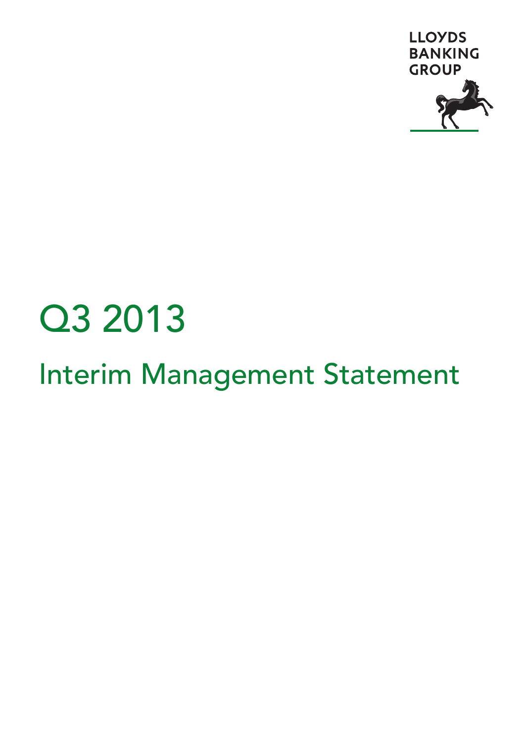

# Q3 2013

# Interim Management Statement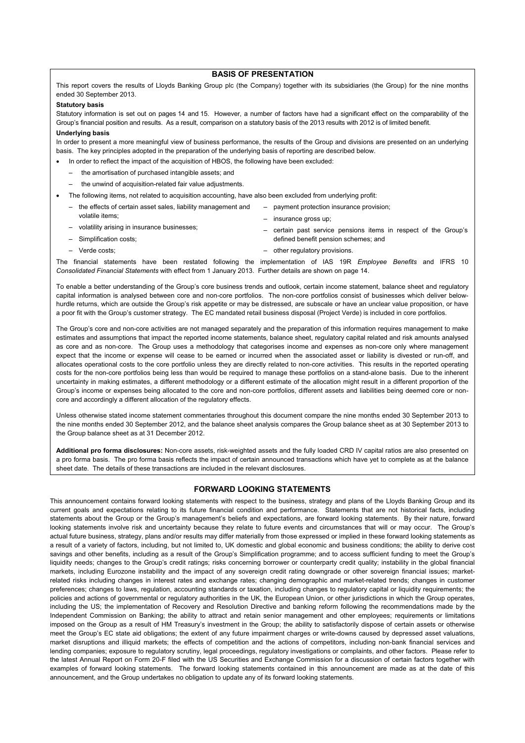# **BASIS OF PRESENTATION**

This report covers the results of Lloyds Banking Group plc (the Company) together with its subsidiaries (the Group) for the nine months ended 30 September 2013.

#### **Statutory basis**

Statutory information is set out on pages 14 and 15. However, a number of factors have had a significant effect on the comparability of the Group's financial position and results. As a result, comparison on a statutory basis of the 2013 results with 2012 is of limited benefit.

#### **Underlying basis**

In order to present a more meaningful view of business performance, the results of the Group and divisions are presented on an underlying basis. The key principles adopted in the preparation of the underlying basis of reporting are described below.

- In order to reflect the impact of the acquisition of HBOS, the following have been excluded:
	- the amortisation of purchased intangible assets; and
	- the unwind of acquisition-related fair value adjustments.
- The following items, not related to acquisition accounting, have also been excluded from underlying profit:
- the effects of certain asset sales, liability management and volatile items;
- volatility arising in insurance businesses;
- Simplification costs;
- Verde costs;
- payment protection insurance provision;
- insurance gross up;
- certain past service pensions items in respect of the Group's defined benefit pension schemes; and
- other regulatory provisions.

The financial statements have been restated following the implementation of IAS 19R *Employee Benefits* and IFRS 10 *Consolidated Financial Statements* with effect from 1 January 2013. Further details are shown on page 14.

To enable a better understanding of the Group's core business trends and outlook, certain income statement, balance sheet and regulatory capital information is analysed between core and non-core portfolios. The non-core portfolios consist of businesses which deliver belowhurdle returns, which are outside the Group's risk appetite or may be distressed, are subscale or have an unclear value proposition, or have a poor fit with the Group's customer strategy. The EC mandated retail business disposal (Project Verde) is included in core portfolios.

The Group's core and non-core activities are not managed separately and the preparation of this information requires management to make estimates and assumptions that impact the reported income statements, balance sheet, regulatory capital related and risk amounts analysed as core and as non-core. The Group uses a methodology that categorises income and expenses as non-core only where management expect that the income or expense will cease to be earned or incurred when the associated asset or liability is divested or run-off, and allocates operational costs to the core portfolio unless they are directly related to non-core activities. This results in the reported operating costs for the non-core portfolios being less than would be required to manage these portfolios on a stand-alone basis. Due to the inherent uncertainty in making estimates, a different methodology or a different estimate of the allocation might result in a different proportion of the Group's income or expenses being allocated to the core and non-core portfolios, different assets and liabilities being deemed core or noncore and accordingly a different allocation of the regulatory effects.

Unless otherwise stated income statement commentaries throughout this document compare the nine months ended 30 September 2013 to the nine months ended 30 September 2012, and the balance sheet analysis compares the Group balance sheet as at 30 September 2013 to the Group balance sheet as at 31 December 2012.

**Additional pro forma disclosures:** Non-core assets, risk-weighted assets and the fully loaded CRD IV capital ratios are also presented on a pro forma basis. The pro forma basis reflects the impact of certain announced transactions which have yet to complete as at the balance sheet date. The details of these transactions are included in the relevant disclosures.

#### **FORWARD LOOKING STATEMENTS**

This announcement contains forward looking statements with respect to the business, strategy and plans of the Lloyds Banking Group and its current goals and expectations relating to its future financial condition and performance. Statements that are not historical facts, including statements about the Group or the Group's management's beliefs and expectations, are forward looking statements. By their nature, forward looking statements involve risk and uncertainty because they relate to future events and circumstances that will or may occur. The Group's actual future business, strategy, plans and/or results may differ materially from those expressed or implied in these forward looking statements as a result of a variety of factors, including, but not limited to, UK domestic and global economic and business conditions; the ability to derive cost savings and other benefits, including as a result of the Group's Simplification programme; and to access sufficient funding to meet the Group's liquidity needs; changes to the Group's credit ratings; risks concerning borrower or counterparty credit quality; instability in the global financial markets, including Eurozone instability and the impact of any sovereign credit rating downgrade or other sovereign financial issues; marketrelated risks including changes in interest rates and exchange rates; changing demographic and market-related trends; changes in customer preferences; changes to laws, regulation, accounting standards or taxation, including changes to regulatory capital or liquidity requirements; the policies and actions of governmental or regulatory authorities in the UK, the European Union, or other jurisdictions in which the Group operates, including the US; the implementation of Recovery and Resolution Directive and banking reform following the recommendations made by the Independent Commission on Banking; the ability to attract and retain senior management and other employees; requirements or limitations imposed on the Group as a result of HM Treasury's investment in the Group; the ability to satisfactorily dispose of certain assets or otherwise meet the Group's EC state aid obligations; the extent of any future impairment charges or write-downs caused by depressed asset valuations, market disruptions and illiquid markets; the effects of competition and the actions of competitors, including non-bank financial services and lending companies; exposure to regulatory scrutiny, legal proceedings, regulatory investigations or complaints, and other factors. Please refer to the latest Annual Report on Form 20-F filed with the US Securities and Exchange Commission for a discussion of certain factors together with examples of forward looking statements. The forward looking statements contained in this announcement are made as at the date of this announcement, and the Group undertakes no obligation to update any of its forward looking statements.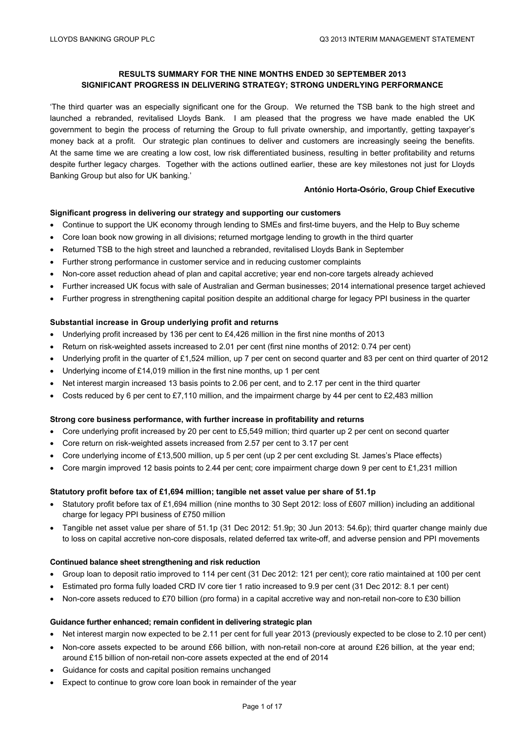# **RESULTS SUMMARY FOR THE NINE MONTHS ENDED 30 SEPTEMBER 2013 SIGNIFICANT PROGRESS IN DELIVERING STRATEGY; STRONG UNDERLYING PERFORMANCE**

'The third quarter was an especially significant one for the Group. We returned the TSB bank to the high street and launched a rebranded, revitalised Lloyds Bank. I am pleased that the progress we have made enabled the UK government to begin the process of returning the Group to full private ownership, and importantly, getting taxpayer's money back at a profit. Our strategic plan continues to deliver and customers are increasingly seeing the benefits. At the same time we are creating a low cost, low risk differentiated business, resulting in better profitability and returns despite further legacy charges. Together with the actions outlined earlier, these are key milestones not just for Lloyds Banking Group but also for UK banking.'

#### **António Horta-Osório, Group Chief Executive**

# **Significant progress in delivering our strategy and supporting our customers**

- Continue to support the UK economy through lending to SMEs and first-time buyers, and the Help to Buy scheme
- Core loan book now growing in all divisions; returned mortgage lending to growth in the third quarter
- Returned TSB to the high street and launched a rebranded, revitalised Lloyds Bank in September
- Further strong performance in customer service and in reducing customer complaints
- Non-core asset reduction ahead of plan and capital accretive; year end non-core targets already achieved
- Further increased UK focus with sale of Australian and German businesses; 2014 international presence target achieved
- Further progress in strengthening capital position despite an additional charge for legacy PPI business in the quarter

#### **Substantial increase in Group underlying profit and returns**

- Underlying profit increased by 136 per cent to £4,426 million in the first nine months of 2013
- Return on risk-weighted assets increased to 2.01 per cent (first nine months of 2012: 0.74 per cent)
- Underlying profit in the quarter of £1,524 million, up 7 per cent on second quarter and 83 per cent on third quarter of 2012
- Underlying income of £14,019 million in the first nine months, up 1 per cent
- Net interest margin increased 13 basis points to 2.06 per cent, and to 2.17 per cent in the third quarter
- Costs reduced by 6 per cent to £7,110 million, and the impairment charge by 44 per cent to £2,483 million

# **Strong core business performance, with further increase in profitability and returns**

- Core underlying profit increased by 20 per cent to £5,549 million; third quarter up 2 per cent on second quarter
- Core return on risk-weighted assets increased from 2.57 per cent to 3.17 per cent
- Core underlying income of £13,500 million, up 5 per cent (up 2 per cent excluding St. James's Place effects)
- Core margin improved 12 basis points to 2.44 per cent; core impairment charge down 9 per cent to £1,231 million

# **Statutory profit before tax of £1,694 million; tangible net asset value per share of 51.1p**

- Statutory profit before tax of £1,694 million (nine months to 30 Sept 2012: loss of £607 million) including an additional charge for legacy PPI business of £750 million
- Tangible net asset value per share of 51.1p (31 Dec 2012: 51.9p; 30 Jun 2013: 54.6p); third quarter change mainly due to loss on capital accretive non-core disposals, related deferred tax write-off, and adverse pension and PPI movements

#### **Continued balance sheet strengthening and risk reduction**

- Group loan to deposit ratio improved to 114 per cent (31 Dec 2012: 121 per cent); core ratio maintained at 100 per cent
- Estimated pro forma fully loaded CRD IV core tier 1 ratio increased to 9.9 per cent (31 Dec 2012: 8.1 per cent)
- Non-core assets reduced to £70 billion (pro forma) in a capital accretive way and non-retail non-core to £30 billion

# **Guidance further enhanced; remain confident in delivering strategic plan**

- Net interest margin now expected to be 2.11 per cent for full year 2013 (previously expected to be close to 2.10 per cent)
- Non-core assets expected to be around £66 billion, with non-retail non-core at around £26 billion, at the year end; around £15 billion of non-retail non-core assets expected at the end of 2014
- Guidance for costs and capital position remains unchanged
- Expect to continue to grow core loan book in remainder of the year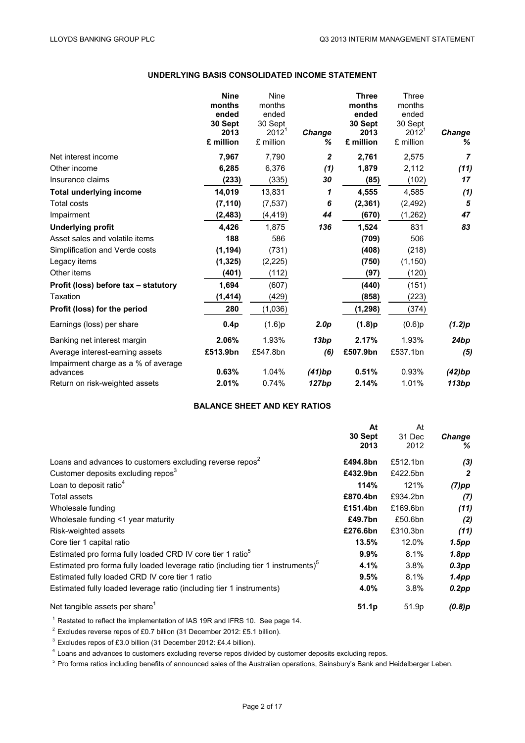# **UNDERLYING BASIS CONSOLIDATED INCOME STATEMENT**

|                                                 | <b>Nine</b><br>months<br>ended<br>30 Sept<br>2013<br>£ million | Nine<br>months<br>ended<br>30 Sept<br>2012 <sup>1</sup><br>£ million | Change<br>℅      | <b>Three</b><br>months<br>ended<br>30 Sept<br>2013<br>£ million | Three<br>months<br>ended<br>30 Sept<br>$2012^1$<br>£ million | <b>Change</b><br>% |
|-------------------------------------------------|----------------------------------------------------------------|----------------------------------------------------------------------|------------------|-----------------------------------------------------------------|--------------------------------------------------------------|--------------------|
| Net interest income                             | 7,967                                                          | 7,790                                                                | 2                | 2,761                                                           | 2,575                                                        | $\overline{7}$     |
| Other income                                    | 6,285                                                          | 6,376                                                                | (1)              | 1,879                                                           | 2,112                                                        | (11)               |
| Insurance claims                                | (233)                                                          | (335)                                                                | 30               | (85)                                                            | (102)                                                        | 17                 |
| <b>Total underlying income</b>                  | 14,019                                                         | 13,831                                                               | 1                | 4,555                                                           | 4,585                                                        | (1)                |
| <b>Total costs</b>                              | (7, 110)                                                       | (7, 537)                                                             | 6                | (2, 361)                                                        | (2, 492)                                                     | 5                  |
| Impairment                                      | (2, 483)                                                       | (4,419)                                                              | 44               | (670)                                                           | (1,262)                                                      | 47                 |
| <b>Underlying profit</b>                        | 4,426                                                          | 1.875                                                                | 136              | 1,524                                                           | 831                                                          | 83                 |
| Asset sales and volatile items                  | 188                                                            | 586                                                                  |                  | (709)                                                           | 506                                                          |                    |
| Simplification and Verde costs                  | (1, 194)                                                       | (731)                                                                |                  | (408)                                                           | (218)                                                        |                    |
| Legacy items                                    | (1, 325)                                                       | (2,225)                                                              |                  | (750)                                                           | (1, 150)                                                     |                    |
| Other items                                     | (401)                                                          | (112)                                                                |                  | (97)                                                            | (120)                                                        |                    |
| Profit (loss) before tax - statutory            | 1,694                                                          | (607)                                                                |                  | (440)                                                           | (151)                                                        |                    |
| Taxation                                        | (1, 414)                                                       | (429)                                                                |                  | (858)                                                           | (223)                                                        |                    |
| Profit (loss) for the period                    | 280                                                            | (1,036)                                                              |                  | (1, 298)                                                        | (374)                                                        |                    |
| Earnings (loss) per share                       | 0.4p                                                           | (1.6)p                                                               | 2.0 <sub>p</sub> | (1.8)p                                                          | (0.6)p                                                       | (1.2)p             |
| Banking net interest margin                     | 2.06%                                                          | 1.93%                                                                | 13bp             | 2.17%                                                           | 1.93%                                                        | 24bp               |
| Average interest-earning assets                 | £513.9bn                                                       | £547.8bn                                                             | (6)              | £507.9bn                                                        | £537.1bn                                                     | (5)                |
| Impairment charge as a % of average<br>advances | 0.63%                                                          | 1.04%                                                                | (41)bp           | 0.51%                                                           | 0.93%                                                        | (42)bp             |
| Return on risk-weighted assets                  | 2.01%                                                          | 0.74%                                                                | 127bp            | 2.14%                                                           | 1.01%                                                        | 113bp              |

# **BALANCE SHEET AND KEY RATIOS**

|                                                                                             | At                | At       |                   |
|---------------------------------------------------------------------------------------------|-------------------|----------|-------------------|
|                                                                                             | 30 Sept           | 31 Dec   | <b>Change</b>     |
|                                                                                             | 2013              | 2012     | ℅                 |
| Loans and advances to customers excluding reverse repos <sup>2</sup>                        | £494.8bn          | £512.1bn | (3)               |
| Customer deposits excluding repos <sup>3</sup>                                              | £432.9bn          | £422.5bn | 2                 |
| Loan to deposit ratio <sup>4</sup>                                                          | 114%              | 121%     | $(7)$ pp          |
| <b>Total assets</b>                                                                         | £870.4bn          | £934.2bn | (7)               |
| Wholesale funding                                                                           | £151.4bn          | £169.6bn | (11)              |
| Wholesale funding <1 year maturity                                                          | £49.7bn           | £50.6bn  | (2)               |
| Risk-weighted assets                                                                        | £276.6bn          | £310.3bn | (11)              |
| Core tier 1 capital ratio                                                                   | $13.5\%$          | 12.0%    | 1.5pp             |
| Estimated pro forma fully loaded CRD IV core tier 1 ratio <sup>5</sup>                      | $9.9\%$           | 8.1%     | 1.8pp             |
| Estimated pro forma fully loaded leverage ratio (including tier 1 instruments) <sup>5</sup> | 4.1%              | 3.8%     | $0.3$ pp          |
| Estimated fully loaded CRD IV core tier 1 ratio                                             | 9.5%              | 8.1%     | 1.4 <sub>pp</sub> |
| Estimated fully loaded leverage ratio (including tier 1 instruments)                        | 4.0%              | $3.8\%$  | $0.2$ pp          |
| Net tangible assets per share <sup>1</sup>                                                  | 51.1 <sub>p</sub> | 51.9p    | (0.8)p            |

<sup>1</sup> Restated to reflect the implementation of IAS 19R and IFRS 10. See page 14.

<sup>2</sup> Excludes reverse repos of £0.7 billion (31 December 2012: £5.1 billion).

<sup>3</sup> Excludes repos of £3.0 billion (31 December 2012: £4.4 billion).

<sup>4</sup> Loans and advances to customers excluding reverse repos divided by customer deposits excluding repos.

<sup>5</sup> Pro forma ratios including benefits of announced sales of the Australian operations, Sainsbury's Bank and Heidelberger Leben.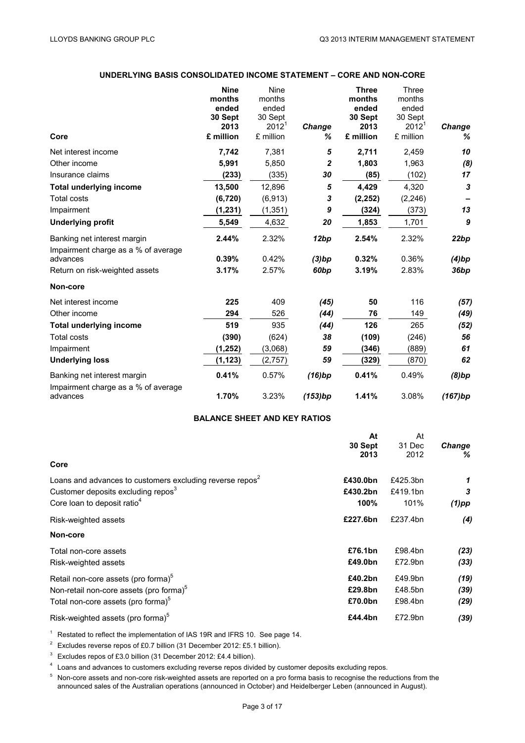# **UNDERLYING BASIS CONSOLIDATED INCOME STATEMENT – CORE AND NON-CORE**

|                                                 | <b>Nine</b>     | Nine            |                  | <b>Three</b>    | Three           |                           |
|-------------------------------------------------|-----------------|-----------------|------------------|-----------------|-----------------|---------------------------|
|                                                 | months<br>ended | months<br>ended |                  | months<br>ended | months<br>ended |                           |
|                                                 | 30 Sept         | 30 Sept         |                  | 30 Sept         | 30 Sept         |                           |
|                                                 | 2013            | $2012^1$        | Change           | 2013            | $2012^1$        | Change                    |
| Core                                            | £ million       | £ million       | ℅                | £ million       | £ million       | %                         |
| Net interest income                             | 7,742           | 7,381           | 5                | 2,711           | 2,459           | 10                        |
| Other income                                    | 5,991           | 5,850           | 2                | 1,803           | 1,963           | (8)                       |
| Insurance claims                                | (233)           | (335)           | 30               | (85)            | (102)           | 17                        |
| <b>Total underlying income</b>                  | 13,500          | 12,896          | 5                | 4,429           | 4,320           | $\boldsymbol{\mathsf{3}}$ |
| <b>Total costs</b>                              | (6, 720)        | (6,913)         | 3                | (2, 252)        | (2, 246)        |                           |
| Impairment                                      | (1, 231)        | (1, 351)        | 9                | (324)           | (373)           | 13                        |
| <b>Underlying profit</b>                        | 5,549           | 4,632           | 20               | 1,853           | 1,701           | 9                         |
| Banking net interest margin                     | 2.44%           | 2.32%           | 12bp             | 2.54%           | 2.32%           | 22bp                      |
| Impairment charge as a % of average             |                 |                 |                  |                 |                 |                           |
| advances                                        | 0.39%           | 0.42%           | (3)bp            | 0.32%           | 0.36%           | (4)bp                     |
| Return on risk-weighted assets                  | 3.17%           | 2.57%           | 60 <sub>bp</sub> | 3.19%           | 2.83%           | 36bp                      |
| Non-core                                        |                 |                 |                  |                 |                 |                           |
| Net interest income                             | 225             | 409             | (45)             | 50              | 116             | (57)                      |
| Other income                                    | 294             | 526             | (44)             | 76              | 149             | (49)                      |
| <b>Total underlying income</b>                  | 519             | 935             | (44)             | 126             | 265             | (52)                      |
| <b>Total costs</b>                              | (390)           | (624)           | 38               | (109)           | (246)           | 56                        |
| Impairment                                      | (1, 252)        | (3,068)         | 59               | (346)           | (889)           | 61                        |
| <b>Underlying loss</b>                          | (1, 123)        | (2,757)         | 59               | (329)           | (870)           | 62                        |
| Banking net interest margin                     | 0.41%           | 0.57%           | (16)bp           | 0.41%           | 0.49%           | (8)bp                     |
| Impairment charge as a % of average<br>advances | 1.70%           | 3.23%           | (153)bp          | 1.41%           | 3.08%           | (167)bp                   |

# **BALANCE SHEET AND KEY RATIOS**

|                                                                      | At       | At       |               |
|----------------------------------------------------------------------|----------|----------|---------------|
|                                                                      | 30 Sept  | 31 Dec   | <b>Change</b> |
| Core                                                                 | 2013     | 2012     | ℅             |
| Loans and advances to customers excluding reverse repos <sup>2</sup> | £430.0bn | £425.3bn | 1             |
| Customer deposits excluding repos <sup>3</sup>                       | £430.2bn | £419.1bn | 3             |
| Core loan to deposit ratio <sup>4</sup>                              | 100%     | 101%     | $(1)$ pp      |
| Risk-weighted assets                                                 | £227.6bn | £237.4bn | (4)           |
| Non-core                                                             |          |          |               |
| Total non-core assets                                                | £76.1bn  | £98.4bn  | (23)          |
| Risk-weighted assets                                                 | £49.0bn  | £72.9bn  | (33)          |
| Retail non-core assets (pro forma) <sup>5</sup>                      | £40.2bn  | £49.9bn  | (19)          |
| Non-retail non-core assets (pro forma) <sup>5</sup>                  | £29.8bn  | £48.5bn  | (39)          |
| Total non-core assets (pro forma) <sup>5</sup>                       | £70.0bn  | £98.4bn  | (29)          |
| Risk-weighted assets (pro forma) <sup>5</sup>                        | £44.4bn  | £72.9bn  | (39)          |

<sup>1</sup> Restated to reflect the implementation of IAS 19R and IFRS 10. See page 14.

<sup>2</sup> Excludes reverse repos of £0.7 billion (31 December 2012: £5.1 billion).

<sup>3</sup> Excludes repos of £3.0 billion (31 December 2012: £4.4 billion).

<sup>4</sup> Loans and advances to customers excluding reverse repos divided by customer deposits excluding repos.

<sup>5</sup> Non-core assets and non-core risk-weighted assets are reported on a pro forma basis to recognise the reductions from the announced sales of the Australian operations (announced in October) and Heidelberger Leben (announced in August).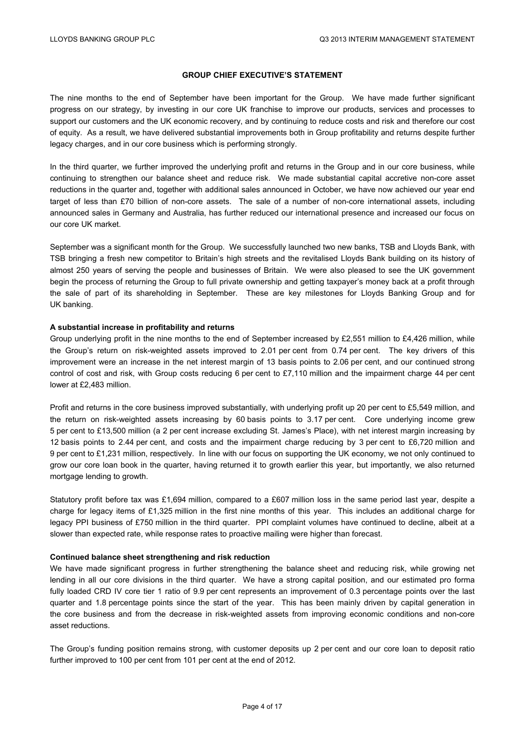### **GROUP CHIEF EXECUTIVE'S STATEMENT**

The nine months to the end of September have been important for the Group. We have made further significant progress on our strategy, by investing in our core UK franchise to improve our products, services and processes to support our customers and the UK economic recovery, and by continuing to reduce costs and risk and therefore our cost of equity. As a result, we have delivered substantial improvements both in Group profitability and returns despite further legacy charges, and in our core business which is performing strongly.

In the third quarter, we further improved the underlying profit and returns in the Group and in our core business, while continuing to strengthen our balance sheet and reduce risk. We made substantial capital accretive non-core asset reductions in the quarter and, together with additional sales announced in October, we have now achieved our year end target of less than £70 billion of non-core assets. The sale of a number of non-core international assets, including announced sales in Germany and Australia, has further reduced our international presence and increased our focus on our core UK market.

September was a significant month for the Group. We successfully launched two new banks, TSB and Lloyds Bank, with TSB bringing a fresh new competitor to Britain's high streets and the revitalised Lloyds Bank building on its history of almost 250 years of serving the people and businesses of Britain. We were also pleased to see the UK government begin the process of returning the Group to full private ownership and getting taxpayer's money back at a profit through the sale of part of its shareholding in September. These are key milestones for Lloyds Banking Group and for UK banking.

#### **A substantial increase in profitability and returns**

Group underlying profit in the nine months to the end of September increased by £2,551 million to £4,426 million, while the Group's return on risk-weighted assets improved to 2.01 per cent from 0.74 per cent. The key drivers of this improvement were an increase in the net interest margin of 13 basis points to 2.06 per cent, and our continued strong control of cost and risk, with Group costs reducing 6 per cent to £7,110 million and the impairment charge 44 per cent lower at £2,483 million.

Profit and returns in the core business improved substantially, with underlying profit up 20 per cent to £5,549 million, and the return on risk-weighted assets increasing by 60 basis points to 3.17 per cent. Core underlying income grew 5 per cent to £13,500 million (a 2 per cent increase excluding St. James's Place), with net interest margin increasing by 12 basis points to 2.44 per cent, and costs and the impairment charge reducing by 3 per cent to £6,720 million and 9 per cent to £1,231 million, respectively. In line with our focus on supporting the UK economy, we not only continued to grow our core loan book in the quarter, having returned it to growth earlier this year, but importantly, we also returned mortgage lending to growth.

Statutory profit before tax was £1,694 million, compared to a £607 million loss in the same period last year, despite a charge for legacy items of £1,325 million in the first nine months of this year. This includes an additional charge for legacy PPI business of £750 million in the third quarter. PPI complaint volumes have continued to decline, albeit at a slower than expected rate, while response rates to proactive mailing were higher than forecast.

#### **Continued balance sheet strengthening and risk reduction**

We have made significant progress in further strengthening the balance sheet and reducing risk, while growing net lending in all our core divisions in the third quarter. We have a strong capital position, and our estimated pro forma fully loaded CRD IV core tier 1 ratio of 9.9 per cent represents an improvement of 0.3 percentage points over the last quarter and 1.8 percentage points since the start of the year. This has been mainly driven by capital generation in the core business and from the decrease in risk-weighted assets from improving economic conditions and non-core asset reductions.

The Group's funding position remains strong, with customer deposits up 2 per cent and our core loan to deposit ratio further improved to 100 per cent from 101 per cent at the end of 2012.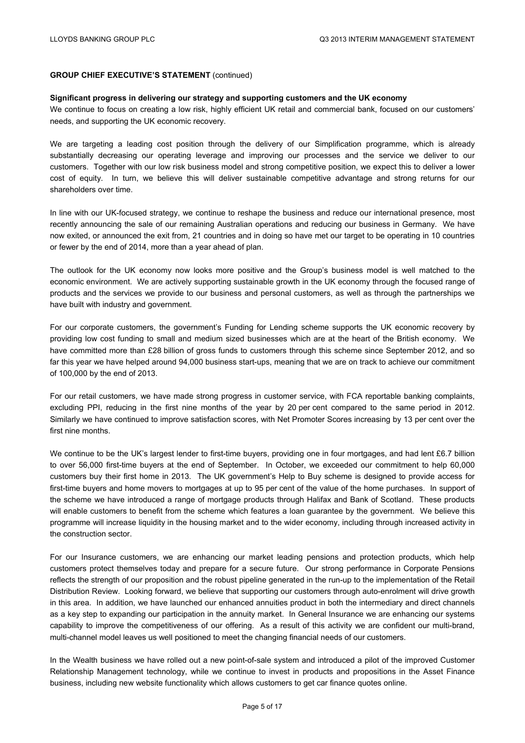# **GROUP CHIEF EXECUTIVE'S STATEMENT** (continued)

#### **Significant progress in delivering our strategy and supporting customers and the UK economy**

We continue to focus on creating a low risk, highly efficient UK retail and commercial bank, focused on our customers' needs, and supporting the UK economic recovery.

We are targeting a leading cost position through the delivery of our Simplification programme, which is already substantially decreasing our operating leverage and improving our processes and the service we deliver to our customers. Together with our low risk business model and strong competitive position, we expect this to deliver a lower cost of equity. In turn, we believe this will deliver sustainable competitive advantage and strong returns for our shareholders over time.

In line with our UK-focused strategy, we continue to reshape the business and reduce our international presence, most recently announcing the sale of our remaining Australian operations and reducing our business in Germany. We have now exited, or announced the exit from, 21 countries and in doing so have met our target to be operating in 10 countries or fewer by the end of 2014, more than a year ahead of plan.

The outlook for the UK economy now looks more positive and the Group's business model is well matched to the economic environment. We are actively supporting sustainable growth in the UK economy through the focused range of products and the services we provide to our business and personal customers, as well as through the partnerships we have built with industry and government.

For our corporate customers, the government's Funding for Lending scheme supports the UK economic recovery by providing low cost funding to small and medium sized businesses which are at the heart of the British economy. We have committed more than £28 billion of gross funds to customers through this scheme since September 2012, and so far this year we have helped around 94,000 business start-ups, meaning that we are on track to achieve our commitment of 100,000 by the end of 2013.

For our retail customers, we have made strong progress in customer service, with FCA reportable banking complaints, excluding PPI, reducing in the first nine months of the year by 20 per cent compared to the same period in 2012. Similarly we have continued to improve satisfaction scores, with Net Promoter Scores increasing by 13 per cent over the first nine months.

We continue to be the UK's largest lender to first-time buyers, providing one in four mortgages, and had lent £6.7 billion to over 56,000 first-time buyers at the end of September. In October, we exceeded our commitment to help 60,000 customers buy their first home in 2013. The UK government's Help to Buy scheme is designed to provide access for first-time buyers and home movers to mortgages at up to 95 per cent of the value of the home purchases. In support of the scheme we have introduced a range of mortgage products through Halifax and Bank of Scotland. These products will enable customers to benefit from the scheme which features a loan guarantee by the government. We believe this programme will increase liquidity in the housing market and to the wider economy, including through increased activity in the construction sector.

For our Insurance customers, we are enhancing our market leading pensions and protection products, which help customers protect themselves today and prepare for a secure future. Our strong performance in Corporate Pensions reflects the strength of our proposition and the robust pipeline generated in the run-up to the implementation of the Retail Distribution Review. Looking forward, we believe that supporting our customers through auto-enrolment will drive growth in this area. In addition, we have launched our enhanced annuities product in both the intermediary and direct channels as a key step to expanding our participation in the annuity market. In General Insurance we are enhancing our systems capability to improve the competitiveness of our offering. As a result of this activity we are confident our multi-brand, multi-channel model leaves us well positioned to meet the changing financial needs of our customers.

In the Wealth business we have rolled out a new point-of-sale system and introduced a pilot of the improved Customer Relationship Management technology, while we continue to invest in products and propositions in the Asset Finance business, including new website functionality which allows customers to get car finance quotes online.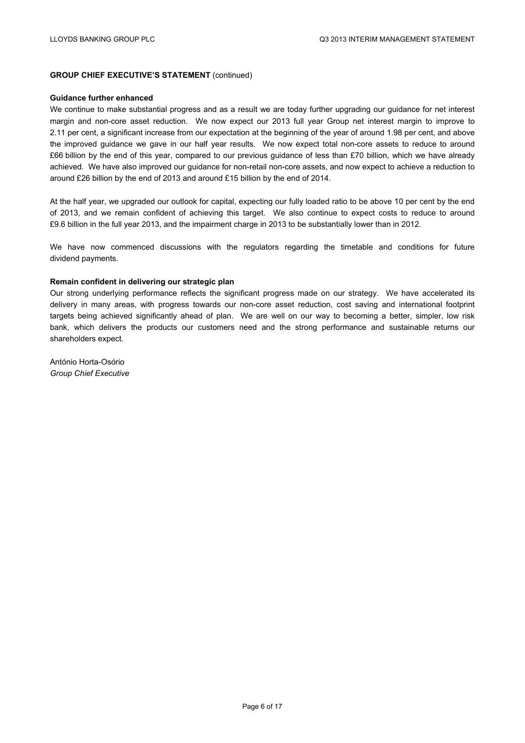# **GROUP CHIEF EXECUTIVE'S STATEMENT** (continued)

#### **Guidance further enhanced**

We continue to make substantial progress and as a result we are today further upgrading our guidance for net interest margin and non-core asset reduction. We now expect our 2013 full year Group net interest margin to improve to 2.11 per cent, a significant increase from our expectation at the beginning of the year of around 1.98 per cent, and above the improved guidance we gave in our half year results. We now expect total non-core assets to reduce to around £66 billion by the end of this year, compared to our previous guidance of less than £70 billion, which we have already achieved. We have also improved our guidance for non-retail non-core assets, and now expect to achieve a reduction to around £26 billion by the end of 2013 and around £15 billion by the end of 2014.

At the half year, we upgraded our outlook for capital, expecting our fully loaded ratio to be above 10 per cent by the end of 2013, and we remain confident of achieving this target. We also continue to expect costs to reduce to around £9.6 billion in the full year 2013, and the impairment charge in 2013 to be substantially lower than in 2012.

We have now commenced discussions with the regulators regarding the timetable and conditions for future dividend payments.

#### **Remain confident in delivering our strategic plan**

Our strong underlying performance reflects the significant progress made on our strategy. We have accelerated its delivery in many areas, with progress towards our non-core asset reduction, cost saving and international footprint targets being achieved significantly ahead of plan. We are well on our way to becoming a better, simpler, low risk bank, which delivers the products our customers need and the strong performance and sustainable returns our shareholders expect.

António Horta-Osório *Group Chief Executive*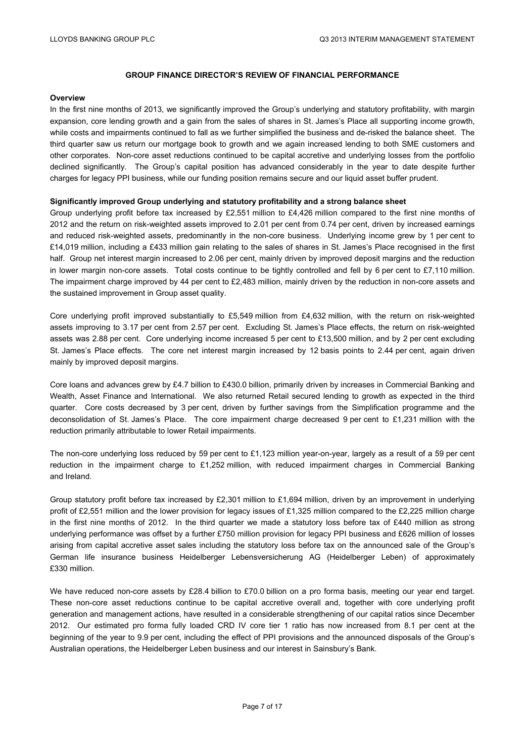#### **Overview**

In the first nine months of 2013, we significantly improved the Group's underlying and statutory profitability, with margin expansion, core lending growth and a gain from the sales of shares in St. James's Place all supporting income growth, while costs and impairments continued to fall as we further simplified the business and de-risked the balance sheet. The third quarter saw us return our mortgage book to growth and we again increased lending to both SME customers and other corporates. Non-core asset reductions continued to be capital accretive and underlying losses from the portfolio declined significantly. The Group's capital position has advanced considerably in the year to date despite further charges for legacy PPI business, while our funding position remains secure and our liquid asset buffer prudent.

#### **Significantly improved Group underlying and statutory profitability and a strong balance sheet**

Group underlying profit before tax increased by £2,551 million to £4,426 million compared to the first nine months of 2012 and the return on risk-weighted assets improved to 2.01 per cent from 0.74 per cent, driven by increased earnings and reduced risk-weighted assets, predominantly in the non-core business. Underlying income grew by 1 per cent to £14,019 million, including a £433 million gain relating to the sales of shares in St. James's Place recognised in the first half. Group net interest margin increased to 2.06 per cent, mainly driven by improved deposit margins and the reduction in lower margin non-core assets. Total costs continue to be tightly controlled and fell by 6 per cent to £7,110 million. The impairment charge improved by 44 per cent to £2,483 million, mainly driven by the reduction in non-core assets and the sustained improvement in Group asset quality.

Core underlying profit improved substantially to £5,549 million from £4,632 million, with the return on risk-weighted assets improving to 3.17 per cent from 2.57 per cent. Excluding St. James's Place effects, the return on risk-weighted assets was 2.88 per cent. Core underlying income increased 5 per cent to £13,500 million, and by 2 per cent excluding St. James's Place effects. The core net interest margin increased by 12 basis points to 2.44 per cent, again driven mainly by improved deposit margins.

Core loans and advances grew by £4.7 billion to £430.0 billion, primarily driven by increases in Commercial Banking and Wealth, Asset Finance and International. We also returned Retail secured lending to growth as expected in the third quarter. Core costs decreased by 3 per cent, driven by further savings from the Simplification programme and the deconsolidation of St. James's Place. The core impairment charge decreased 9 per cent to £1,231 million with the reduction primarily attributable to lower Retail impairments.

The non-core underlying loss reduced by 59 per cent to £1,123 million year-on-year, largely as a result of a 59 per cent reduction in the impairment charge to £1,252 million, with reduced impairment charges in Commercial Banking and Ireland.

Group statutory profit before tax increased by £2,301 million to £1,694 million, driven by an improvement in underlying profit of £2,551 million and the lower provision for legacy issues of £1,325 million compared to the £2,225 million charge in the first nine months of 2012. In the third quarter we made a statutory loss before tax of £440 million as strong underlying performance was offset by a further £750 million provision for legacy PPI business and £626 million of losses arising from capital accretive asset sales including the statutory loss before tax on the announced sale of the Group's German life insurance business Heidelberger Lebensversicherung AG (Heidelberger Leben) of approximately £330 million.

We have reduced non-core assets by £28.4 billion to £70.0 billion on a pro forma basis, meeting our year end target. These non-core asset reductions continue to be capital accretive overall and, together with core underlying profit generation and management actions, have resulted in a considerable strengthening of our capital ratios since December 2012. Our estimated pro forma fully loaded CRD IV core tier 1 ratio has now increased from 8.1 per cent at the beginning of the year to 9.9 per cent, including the effect of PPI provisions and the announced disposals of the Group's Australian operations, the Heidelberger Leben business and our interest in Sainsbury's Bank.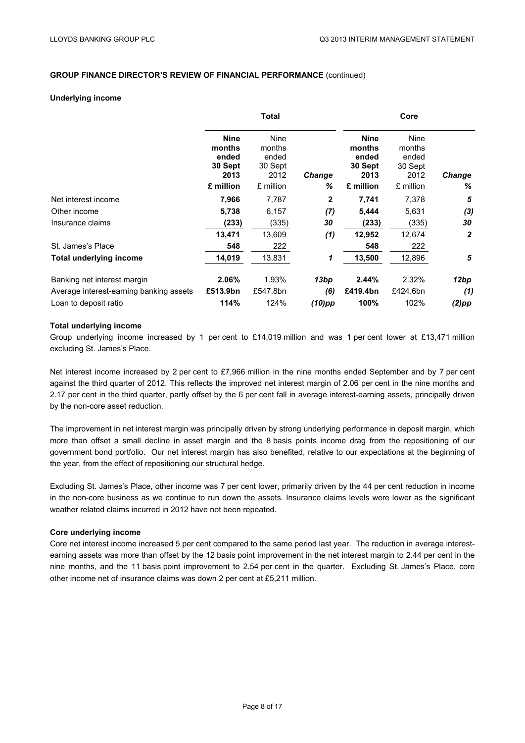#### **Underlying income**

|                                         |                                                   | <b>Total</b>                               |               |                                                   | Core                                              |                |
|-----------------------------------------|---------------------------------------------------|--------------------------------------------|---------------|---------------------------------------------------|---------------------------------------------------|----------------|
|                                         | <b>Nine</b><br>months<br>ended<br>30 Sept<br>2013 | Nine<br>months<br>ended<br>30 Sept<br>2012 | <b>Change</b> | <b>Nine</b><br>months<br>ended<br>30 Sept<br>2013 | <b>Nine</b><br>months<br>ended<br>30 Sept<br>2012 | Change         |
|                                         | £ million                                         | £ million                                  | ℅             | £ million                                         | £ million                                         | ℅              |
| Net interest income                     | 7,966                                             | 7,787                                      | 2             | 7,741                                             | 7,378                                             | 5              |
| Other income                            | 5,738                                             | 6,157                                      | (7)           | 5,444                                             | 5,631                                             | (3)            |
| Insurance claims                        | (233)                                             | (335)                                      | 30            | (233)                                             | (335)                                             | 30             |
|                                         | 13,471                                            | 13,609                                     | (1)           | 12,952                                            | 12,674                                            | $\overline{2}$ |
| St. James's Place                       | 548                                               | 222                                        |               | 548                                               | 222                                               |                |
| Total underlying income                 | 14,019                                            | 13,831                                     | 1             | 13,500                                            | 12,896                                            | 5              |
| Banking net interest margin             | 2.06%                                             | 1.93%                                      | 13bp          | 2.44%                                             | 2.32%                                             | 12bp           |
| Average interest-earning banking assets | £513.9bn                                          | £547.8bn                                   | (6)           | £419.4bn                                          | £424.6bn                                          | (1)            |
| Loan to deposit ratio                   | 114%                                              | 124%                                       | $(10)$ pp     | 100%                                              | 102%                                              | $(2)$ pp       |

#### **Total underlying income**

Group underlying income increased by 1 per cent to £14,019 million and was 1 per cent lower at £13,471 million excluding St. James's Place.

Net interest income increased by 2 per cent to £7,966 million in the nine months ended September and by 7 per cent against the third quarter of 2012. This reflects the improved net interest margin of 2.06 per cent in the nine months and 2.17 per cent in the third quarter, partly offset by the 6 per cent fall in average interest-earning assets, principally driven by the non-core asset reduction.

The improvement in net interest margin was principally driven by strong underlying performance in deposit margin, which more than offset a small decline in asset margin and the 8 basis points income drag from the repositioning of our government bond portfolio. Our net interest margin has also benefited, relative to our expectations at the beginning of the year, from the effect of repositioning our structural hedge.

Excluding St. James's Place, other income was 7 per cent lower, primarily driven by the 44 per cent reduction in income in the non-core business as we continue to run down the assets. Insurance claims levels were lower as the significant weather related claims incurred in 2012 have not been repeated.

#### **Core underlying income**

Core net interest income increased 5 per cent compared to the same period last year. The reduction in average interestearning assets was more than offset by the 12 basis point improvement in the net interest margin to 2.44 per cent in the nine months, and the 11 basis point improvement to 2.54 per cent in the quarter. Excluding St. James's Place, core other income net of insurance claims was down 2 per cent at £5,211 million.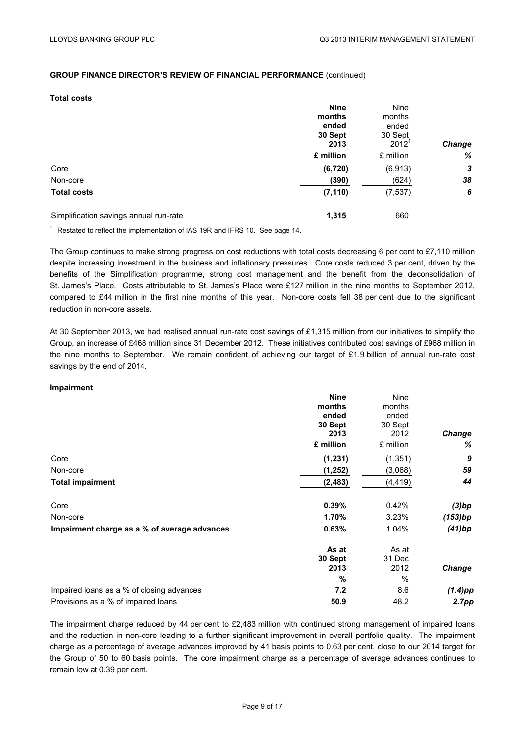# **Total costs**

|                                        | <b>Nine</b> | Nine      |               |
|----------------------------------------|-------------|-----------|---------------|
|                                        | months      | months    |               |
|                                        | ended       | ended     |               |
|                                        | 30 Sept     | 30 Sept   |               |
|                                        | 2013        | $2012^1$  | <b>Change</b> |
|                                        | £ million   | £ million | %             |
| Core                                   | (6, 720)    | (6,913)   | 3             |
| Non-core                               | (390)       | (624)     | 38            |
| <b>Total costs</b>                     | (7, 110)    | (7, 537)  | 6             |
| Simplification savings annual run-rate | 1,315       | 660       |               |

 $1$  Restated to reflect the implementation of IAS 19R and IFRS 10. See page 14.

The Group continues to make strong progress on cost reductions with total costs decreasing 6 per cent to £7,110 million despite increasing investment in the business and inflationary pressures. Core costs reduced 3 per cent, driven by the benefits of the Simplification programme, strong cost management and the benefit from the deconsolidation of St. James's Place. Costs attributable to St. James's Place were £127 million in the nine months to September 2012, compared to £44 million in the first nine months of this year. Non-core costs fell 38 per cent due to the significant reduction in non-core assets.

At 30 September 2013, we had realised annual run-rate cost savings of £1,315 million from our initiatives to simplify the Group, an increase of £468 million since 31 December 2012. These initiatives contributed cost savings of £968 million in the nine months to September. We remain confident of achieving our target of £1.9 billion of annual run-rate cost savings by the end of 2014.

#### **Impairment**

|                                              | <b>Nine</b> | Nine      |               |
|----------------------------------------------|-------------|-----------|---------------|
|                                              | months      | months    |               |
|                                              | ended       | ended     |               |
|                                              | 30 Sept     | 30 Sept   |               |
|                                              | 2013        | 2012      | <b>Change</b> |
|                                              | £ million   | £ million | %             |
| Core                                         | (1, 231)    | (1, 351)  | 9             |
| Non-core                                     | (1, 252)    | (3,068)   | 59            |
| <b>Total impairment</b>                      | (2, 483)    | (4,419)   | 44            |
| Core                                         | 0.39%       | 0.42%     | (3)bp         |
| Non-core                                     | 1.70%       | 3.23%     | (153)bp       |
| Impairment charge as a % of average advances | 0.63%       | 1.04%     | (41)bp        |
|                                              | As at       | As at     |               |
|                                              | 30 Sept     | 31 Dec    |               |
|                                              | 2013        | 2012      | <b>Change</b> |
|                                              | %           | $\%$      |               |
| Impaired loans as a % of closing advances    | 7.2         | 8.6       | $(1.4)$ pp    |
| Provisions as a % of impaired loans          | 50.9        | 48.2      | 2.7pp         |

The impairment charge reduced by 44 per cent to £2,483 million with continued strong management of impaired loans and the reduction in non-core leading to a further significant improvement in overall portfolio quality. The impairment charge as a percentage of average advances improved by 41 basis points to 0.63 per cent, close to our 2014 target for the Group of 50 to 60 basis points. The core impairment charge as a percentage of average advances continues to remain low at 0.39 per cent.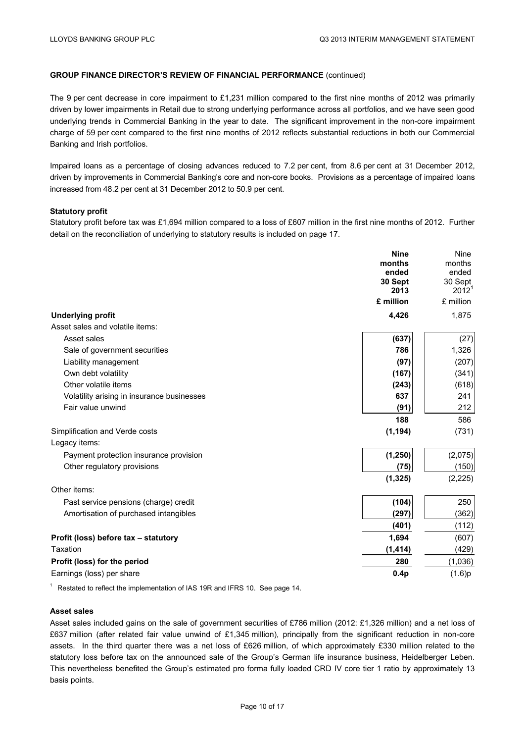The 9 per cent decrease in core impairment to £1,231 million compared to the first nine months of 2012 was primarily driven by lower impairments in Retail due to strong underlying performance across all portfolios, and we have seen good underlying trends in Commercial Banking in the year to date. The significant improvement in the non-core impairment charge of 59 per cent compared to the first nine months of 2012 reflects substantial reductions in both our Commercial Banking and Irish portfolios.

Impaired loans as a percentage of closing advances reduced to 7.2 per cent, from 8.6 per cent at 31 December 2012, driven by improvements in Commercial Banking's core and non-core books. Provisions as a percentage of impaired loans increased from 48.2 per cent at 31 December 2012 to 50.9 per cent.

# **Statutory profit**

Statutory profit before tax was £1,694 million compared to a loss of £607 million in the first nine months of 2012. Further detail on the reconciliation of underlying to statutory results is included on page 17.

|                                            | <b>Nine</b>     | <b>Nine</b>      |
|--------------------------------------------|-----------------|------------------|
|                                            | months          | months           |
|                                            | ended           | ended<br>30 Sept |
|                                            | 30 Sept<br>2013 | $2012^1$         |
|                                            | £ million       | £ million        |
| <b>Underlying profit</b>                   | 4,426           | 1,875            |
| Asset sales and volatile items:            |                 |                  |
| Asset sales                                | (637)           | (27)             |
| Sale of government securities              | 786             | 1,326            |
| Liability management                       | (97)            | (207)            |
| Own debt volatility                        | (167)           | (341)            |
| Other volatile items                       | (243)           | (618)            |
| Volatility arising in insurance businesses | 637             | 241              |
| Fair value unwind                          | (91)            | 212              |
|                                            | 188             | 586              |
| Simplification and Verde costs             | (1, 194)        | (731)            |
| Legacy items:                              |                 |                  |
| Payment protection insurance provision     | (1, 250)        | (2,075)          |
| Other regulatory provisions                | (75)            | (150)            |
|                                            | (1, 325)        | (2,225)          |
| Other items:                               |                 |                  |
| Past service pensions (charge) credit      | (104)           | 250              |
| Amortisation of purchased intangibles      | (297)           | (362)            |
|                                            | (401)           | (112)            |
| Profit (loss) before tax - statutory       | 1,694           | (607)            |
| Taxation                                   | (1, 414)        | (429)            |
| Profit (loss) for the period               | 280             | (1,036)          |
| Earnings (loss) per share                  | 0.4p            | (1.6)p           |
|                                            |                 |                  |

<sup>1</sup> Restated to reflect the implementation of IAS 19R and IFRS 10. See page 14.

#### **Asset sales**

Asset sales included gains on the sale of government securities of £786 million (2012: £1,326 million) and a net loss of £637 million (after related fair value unwind of £1,345 million), principally from the significant reduction in non-core assets. In the third quarter there was a net loss of £626 million, of which approximately £330 million related to the statutory loss before tax on the announced sale of the Group's German life insurance business, Heidelberger Leben. This nevertheless benefited the Group's estimated pro forma fully loaded CRD IV core tier 1 ratio by approximately 13 basis points.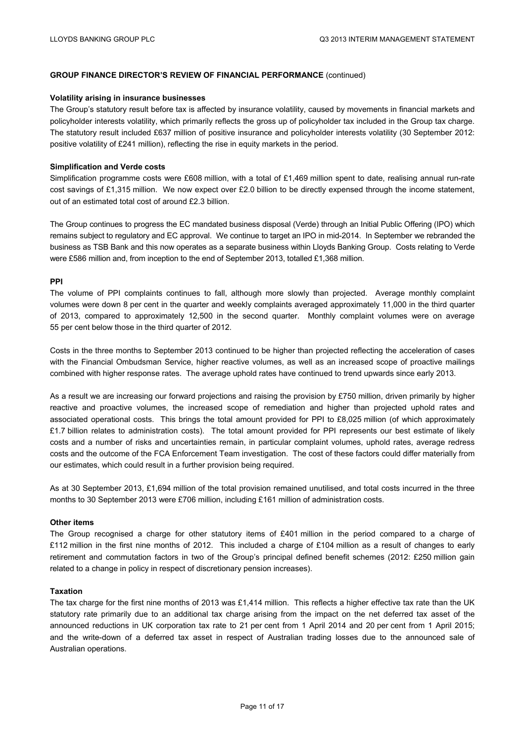#### **Volatility arising in insurance businesses**

The Group's statutory result before tax is affected by insurance volatility, caused by movements in financial markets and policyholder interests volatility, which primarily reflects the gross up of policyholder tax included in the Group tax charge. The statutory result included £637 million of positive insurance and policyholder interests volatility (30 September 2012: positive volatility of £241 million), reflecting the rise in equity markets in the period.

#### **Simplification and Verde costs**

Simplification programme costs were £608 million, with a total of £1,469 million spent to date, realising annual run-rate cost savings of £1,315 million. We now expect over £2.0 billion to be directly expensed through the income statement, out of an estimated total cost of around £2.3 billion.

The Group continues to progress the EC mandated business disposal (Verde) through an Initial Public Offering (IPO) which remains subject to regulatory and EC approval. We continue to target an IPO in mid-2014. In September we rebranded the business as TSB Bank and this now operates as a separate business within Lloyds Banking Group. Costs relating to Verde were £586 million and, from inception to the end of September 2013, totalled £1,368 million.

#### **PPI**

The volume of PPI complaints continues to fall, although more slowly than projected. Average monthly complaint volumes were down 8 per cent in the quarter and weekly complaints averaged approximately 11,000 in the third quarter of 2013, compared to approximately 12,500 in the second quarter. Monthly complaint volumes were on average 55 per cent below those in the third quarter of 2012.

Costs in the three months to September 2013 continued to be higher than projected reflecting the acceleration of cases with the Financial Ombudsman Service, higher reactive volumes, as well as an increased scope of proactive mailings combined with higher response rates. The average uphold rates have continued to trend upwards since early 2013.

As a result we are increasing our forward projections and raising the provision by £750 million, driven primarily by higher reactive and proactive volumes, the increased scope of remediation and higher than projected uphold rates and associated operational costs. This brings the total amount provided for PPI to £8,025 million (of which approximately £1.7 billion relates to administration costs). The total amount provided for PPI represents our best estimate of likely costs and a number of risks and uncertainties remain, in particular complaint volumes, uphold rates, average redress costs and the outcome of the FCA Enforcement Team investigation. The cost of these factors could differ materially from our estimates, which could result in a further provision being required.

As at 30 September 2013, £1,694 million of the total provision remained unutilised, and total costs incurred in the three months to 30 September 2013 were £706 million, including £161 million of administration costs.

#### **Other items**

The Group recognised a charge for other statutory items of £401 million in the period compared to a charge of £112 million in the first nine months of 2012. This included a charge of £104 million as a result of changes to early retirement and commutation factors in two of the Group's principal defined benefit schemes (2012: £250 million gain related to a change in policy in respect of discretionary pension increases).

#### **Taxation**

The tax charge for the first nine months of 2013 was £1,414 million. This reflects a higher effective tax rate than the UK statutory rate primarily due to an additional tax charge arising from the impact on the net deferred tax asset of the announced reductions in UK corporation tax rate to 21 per cent from 1 April 2014 and 20 per cent from 1 April 2015; and the write-down of a deferred tax asset in respect of Australian trading losses due to the announced sale of Australian operations.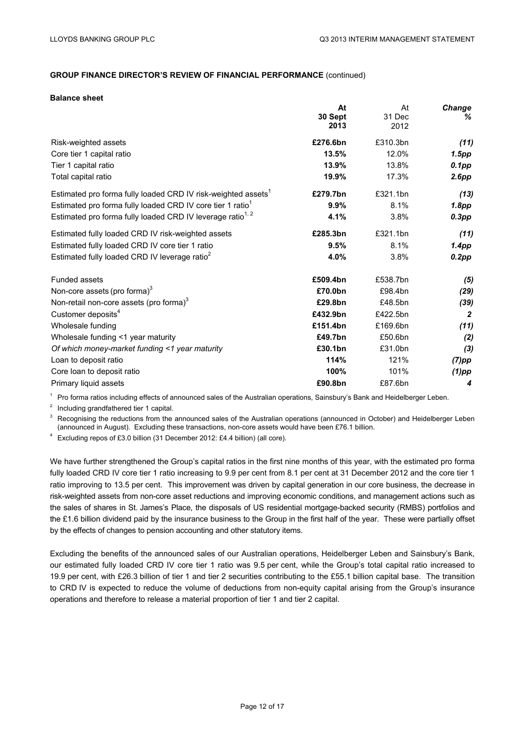#### **Balance sheet**

|                                                                           | At       | At       | <b>Change</b>  |
|---------------------------------------------------------------------------|----------|----------|----------------|
|                                                                           | 30 Sept  | 31 Dec   | ℅              |
|                                                                           | 2013     | 2012     |                |
| Risk-weighted assets                                                      | £276.6bn | £310.3bn | (11)           |
| Core tier 1 capital ratio                                                 | 13.5%    | 12.0%    | 1.5pp          |
| Tier 1 capital ratio                                                      | 13.9%    | 13.8%    | $0.1$ pp       |
| Total capital ratio                                                       | 19.9%    | 17.3%    | 2.6pp          |
| Estimated pro forma fully loaded CRD IV risk-weighted assets <sup>1</sup> | £279.7bn | £321.1bn | (13)           |
| Estimated pro forma fully loaded CRD IV core tier 1 ratio <sup>1</sup>    | 9.9%     | 8.1%     | 1.8pp          |
| Estimated pro forma fully loaded CRD IV leverage ratio <sup>1, 2</sup>    | 4.1%     | 3.8%     | $0.3$ pp       |
| Estimated fully loaded CRD IV risk-weighted assets                        | £285.3bn | £321.1bn | (11)           |
| Estimated fully loaded CRD IV core tier 1 ratio                           | 9.5%     | 8.1%     | 1.4pp          |
| Estimated fully loaded CRD IV leverage ratio <sup>2</sup>                 | 4.0%     | 3.8%     | 0.2pp          |
| <b>Funded assets</b>                                                      | £509.4bn | £538.7bn | (5)            |
| Non-core assets (pro forma) $3$                                           | £70.0bn  | £98.4bn  | (29)           |
| Non-retail non-core assets (pro forma) <sup>3</sup>                       | £29.8bn  | £48.5bn  | (39)           |
| Customer deposits <sup>4</sup>                                            | £432.9bn | £422.5bn | $\overline{2}$ |
| Wholesale funding                                                         | £151.4bn | £169.6bn | (11)           |
| Wholesale funding <1 year maturity                                        | £49.7bn  | £50.6bn  | (2)            |
| Of which money-market funding <1 year maturity                            | £30.1bn  | £31.0bn  | $(3)$          |
| Loan to deposit ratio                                                     | 114%     | 121%     | $(7)$ pp       |
| Core loan to deposit ratio                                                | 100%     | 101%     | $(1)$ pp       |
| Primary liquid assets                                                     | £90.8bn  | £87.6bn  | 4              |

<sup>1</sup> Pro forma ratios including effects of announced sales of the Australian operations, Sainsbury's Bank and Heidelberger Leben.

<sup>2</sup> Including grandfathered tier 1 capital.

 $3$  Recognising the reductions from the announced sales of the Australian operations (announced in October) and Heidelberger Leben (announced in August). Excluding these transactions, non-core assets would have been £76.1 billion.

<sup>4</sup> Excluding repos of £3.0 billion (31 December 2012: £4.4 billion) (all core).

We have further strengthened the Group's capital ratios in the first nine months of this year, with the estimated pro forma fully loaded CRD IV core tier 1 ratio increasing to 9.9 per cent from 8.1 per cent at 31 December 2012 and the core tier 1 ratio improving to 13.5 per cent. This improvement was driven by capital generation in our core business, the decrease in risk-weighted assets from non-core asset reductions and improving economic conditions, and management actions such as the sales of shares in St. James's Place, the disposals of US residential mortgage-backed security (RMBS) portfolios and the £1.6 billion dividend paid by the insurance business to the Group in the first half of the year. These were partially offset by the effects of changes to pension accounting and other statutory items.

Excluding the benefits of the announced sales of our Australian operations, Heidelberger Leben and Sainsbury's Bank, our estimated fully loaded CRD IV core tier 1 ratio was 9.5 per cent, while the Group's total capital ratio increased to 19.9 per cent, with £26.3 billion of tier 1 and tier 2 securities contributing to the £55.1 billion capital base. The transition to CRD IV is expected to reduce the volume of deductions from non-equity capital arising from the Group's insurance operations and therefore to release a material proportion of tier 1 and tier 2 capital.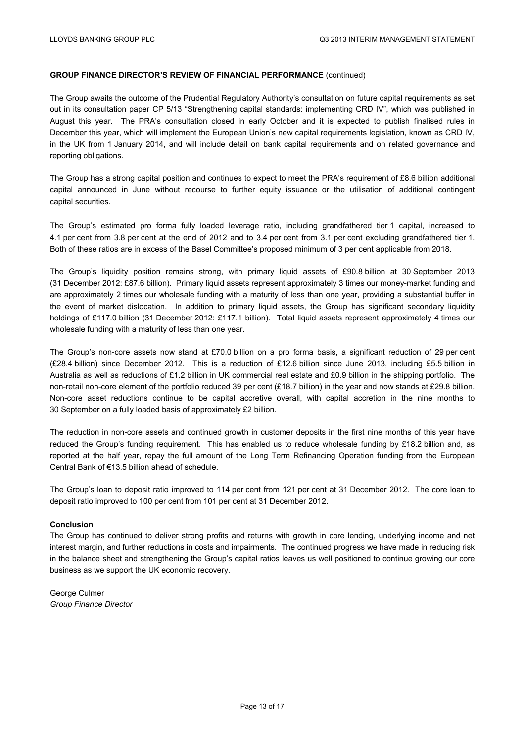The Group awaits the outcome of the Prudential Regulatory Authority's consultation on future capital requirements as set out in its consultation paper CP 5/13 "Strengthening capital standards: implementing CRD IV", which was published in August this year. The PRA's consultation closed in early October and it is expected to publish finalised rules in December this year, which will implement the European Union's new capital requirements legislation, known as CRD IV, in the UK from 1 January 2014, and will include detail on bank capital requirements and on related governance and reporting obligations.

The Group has a strong capital position and continues to expect to meet the PRA's requirement of £8.6 billion additional capital announced in June without recourse to further equity issuance or the utilisation of additional contingent capital securities.

The Group's estimated pro forma fully loaded leverage ratio, including grandfathered tier 1 capital, increased to 4.1 per cent from 3.8 per cent at the end of 2012 and to 3.4 per cent from 3.1 per cent excluding grandfathered tier 1. Both of these ratios are in excess of the Basel Committee's proposed minimum of 3 per cent applicable from 2018.

The Group's liquidity position remains strong, with primary liquid assets of £90.8 billion at 30 September 2013 (31 December 2012: £87.6 billion). Primary liquid assets represent approximately 3 times our money-market funding and are approximately 2 times our wholesale funding with a maturity of less than one year, providing a substantial buffer in the event of market dislocation. In addition to primary liquid assets, the Group has significant secondary liquidity holdings of £117.0 billion (31 December 2012: £117.1 billion). Total liquid assets represent approximately 4 times our wholesale funding with a maturity of less than one year.

The Group's non-core assets now stand at £70.0 billion on a pro forma basis, a significant reduction of 29 per cent (£28.4 billion) since December 2012. This is a reduction of £12.6 billion since June 2013, including £5.5 billion in Australia as well as reductions of £1.2 billion in UK commercial real estate and £0.9 billion in the shipping portfolio. The non-retail non-core element of the portfolio reduced 39 per cent (£18.7 billion) in the year and now stands at £29.8 billion. Non-core asset reductions continue to be capital accretive overall, with capital accretion in the nine months to 30 September on a fully loaded basis of approximately £2 billion.

The reduction in non-core assets and continued growth in customer deposits in the first nine months of this year have reduced the Group's funding requirement. This has enabled us to reduce wholesale funding by £18.2 billion and, as reported at the half year, repay the full amount of the Long Term Refinancing Operation funding from the European Central Bank of €13.5 billion ahead of schedule.

The Group's loan to deposit ratio improved to 114 per cent from 121 per cent at 31 December 2012. The core loan to deposit ratio improved to 100 per cent from 101 per cent at 31 December 2012.

#### **Conclusion**

The Group has continued to deliver strong profits and returns with growth in core lending, underlying income and net interest margin, and further reductions in costs and impairments. The continued progress we have made in reducing risk in the balance sheet and strengthening the Group's capital ratios leaves us well positioned to continue growing our core business as we support the UK economic recovery.

George Culmer *Group Finance Director*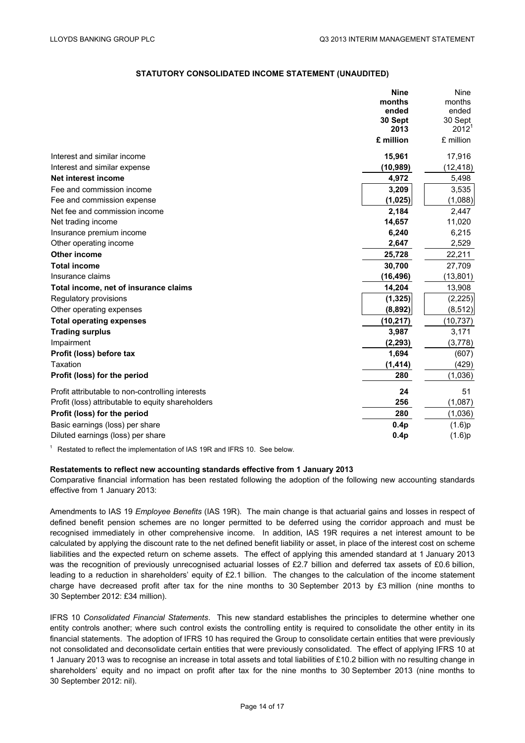# **STATUTORY CONSOLIDATED INCOME STATEMENT (UNAUDITED)**

|                                                   | <b>Nine</b>      | <b>Nine</b> |
|---------------------------------------------------|------------------|-------------|
|                                                   | months           | months      |
|                                                   | ended            | ended       |
|                                                   | 30 Sept          | 30 Sept     |
|                                                   | 2013             | $2012^1$    |
|                                                   | £ million        | £ million   |
| Interest and similar income                       | 15,961           | 17,916      |
| Interest and similar expense                      | (10, 989)        | (12, 418)   |
| Net interest income                               | 4,972            | 5,498       |
| Fee and commission income                         | 3,209            | 3,535       |
| Fee and commission expense                        | (1,025)          | (1,088)     |
| Net fee and commission income                     | 2,184            | 2,447       |
| Net trading income                                | 14,657           | 11,020      |
| Insurance premium income                          | 6,240            | 6,215       |
| Other operating income                            | 2,647            | 2,529       |
| Other income                                      | 25,728           | 22,211      |
| <b>Total income</b>                               | 30,700           | 27,709      |
| Insurance claims                                  | (16, 496)        | (13, 801)   |
| Total income, net of insurance claims             | 14,204           | 13,908      |
| Regulatory provisions                             | (1, 325)         | (2, 225)    |
| Other operating expenses                          | (8,892)          | (8, 512)    |
| <b>Total operating expenses</b>                   | (10, 217)        | (10, 737)   |
| <b>Trading surplus</b>                            | 3,987            | 3,171       |
| Impairment                                        | (2, 293)         | (3,778)     |
| Profit (loss) before tax                          | 1,694            | (607)       |
| Taxation                                          | (1, 414)         | (429)       |
| Profit (loss) for the period                      | 280              | (1,036)     |
| Profit attributable to non-controlling interests  | 24               | 51          |
| Profit (loss) attributable to equity shareholders | 256              | (1,087)     |
| Profit (loss) for the period                      | 280              | (1,036)     |
| Basic earnings (loss) per share                   | 0.4 <sub>p</sub> | (1.6)p      |
| Diluted earnings (loss) per share                 | 0.4 <sub>p</sub> | (1.6)p      |

<sup>1</sup> Restated to reflect the implementation of IAS 19R and IFRS 10. See below.

### **Restatements to reflect new accounting standards effective from 1 January 2013**

Comparative financial information has been restated following the adoption of the following new accounting standards effective from 1 January 2013:

Amendments to IAS 19 *Employee Benefits* (IAS 19R). The main change is that actuarial gains and losses in respect of defined benefit pension schemes are no longer permitted to be deferred using the corridor approach and must be recognised immediately in other comprehensive income. In addition, IAS 19R requires a net interest amount to be calculated by applying the discount rate to the net defined benefit liability or asset, in place of the interest cost on scheme liabilities and the expected return on scheme assets. The effect of applying this amended standard at 1 January 2013 was the recognition of previously unrecognised actuarial losses of £2.7 billion and deferred tax assets of £0.6 billion, leading to a reduction in shareholders' equity of £2.1 billion. The changes to the calculation of the income statement charge have decreased profit after tax for the nine months to 30 September 2013 by £3 million (nine months to 30 September 2012: £34 million).

IFRS 10 *Consolidated Financial Statements*. This new standard establishes the principles to determine whether one entity controls another; where such control exists the controlling entity is required to consolidate the other entity in its financial statements. The adoption of IFRS 10 has required the Group to consolidate certain entities that were previously not consolidated and deconsolidate certain entities that were previously consolidated. The effect of applying IFRS 10 at 1 January 2013 was to recognise an increase in total assets and total liabilities of £10.2 billion with no resulting change in shareholders' equity and no impact on profit after tax for the nine months to 30 September 2013 (nine months to 30 September 2012: nil).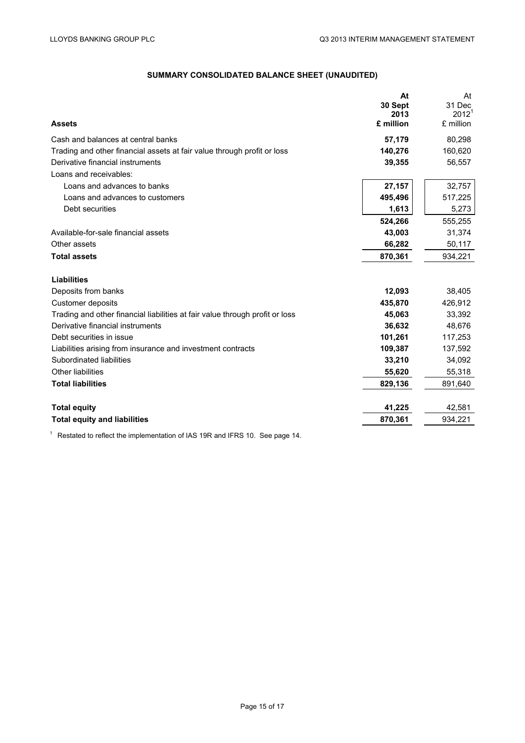# **SUMMARY CONSOLIDATED BALANCE SHEET (UNAUDITED)**

|                                                                              | At              | At                          |
|------------------------------------------------------------------------------|-----------------|-----------------------------|
|                                                                              | 30 Sept<br>2013 | 31 Dec<br>2012 <sup>1</sup> |
| <b>Assets</b>                                                                | £ million       | £ million                   |
| Cash and balances at central banks                                           | 57,179          | 80,298                      |
| Trading and other financial assets at fair value through profit or loss      | 140,276         | 160,620                     |
| Derivative financial instruments                                             | 39,355          | 56,557                      |
| Loans and receivables:                                                       |                 |                             |
| Loans and advances to banks                                                  | 27,157          | 32,757                      |
| Loans and advances to customers                                              | 495,496         | 517,225                     |
| Debt securities                                                              | 1,613           | 5,273                       |
|                                                                              | 524,266         | 555,255                     |
| Available-for-sale financial assets                                          | 43,003          | 31,374                      |
| Other assets                                                                 | 66,282          | 50,117                      |
| <b>Total assets</b>                                                          | 870,361         | 934,221                     |
| <b>Liabilities</b>                                                           |                 |                             |
| Deposits from banks                                                          | 12,093          | 38,405                      |
| Customer deposits                                                            | 435,870         | 426,912                     |
| Trading and other financial liabilities at fair value through profit or loss | 45.063          | 33,392                      |
| Derivative financial instruments                                             | 36,632          | 48,676                      |
| Debt securities in issue                                                     | 101,261         | 117,253                     |
| Liabilities arising from insurance and investment contracts                  | 109,387         | 137,592                     |
| Subordinated liabilities                                                     | 33,210          | 34,092                      |
| Other liabilities                                                            | 55,620          | 55,318                      |
| <b>Total liabilities</b>                                                     | 829,136         | 891,640                     |
|                                                                              | 41,225          |                             |
| <b>Total equity</b>                                                          |                 | 42,581                      |
| <b>Total equity and liabilities</b>                                          | 870,361         | 934,221                     |

1 Restated to reflect the implementation of IAS 19R and IFRS 10. See page 14.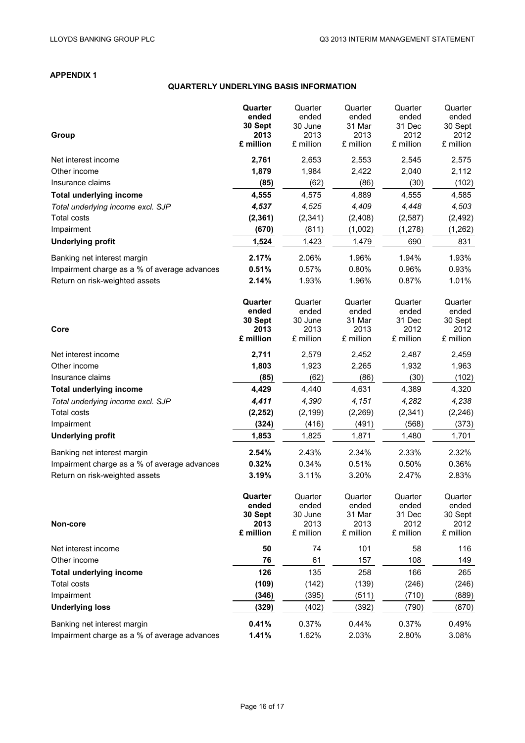# **APPENDIX 1**

# **QUARTERLY UNDERLYING BASIS INFORMATION**

|                                              | Quarter           | Quarter           | Quarter           | Quarter           | Quarter           |
|----------------------------------------------|-------------------|-------------------|-------------------|-------------------|-------------------|
|                                              | ended             | ended             | ended             | ended             | ended             |
|                                              | 30 Sept<br>2013   | 30 June<br>2013   | 31 Mar<br>2013    | 31 Dec<br>2012    | 30 Sept<br>2012   |
| Group                                        | £ million         | £ million         | £ million         | £ million         | £ million         |
| Net interest income                          | 2,761             | 2,653             | 2,553             | 2,545             | 2,575             |
| Other income                                 | 1,879             | 1,984             | 2,422             | 2,040             | 2,112             |
| Insurance claims                             | (85)              | (62)              | (86)              | (30)              | (102)             |
| <b>Total underlying income</b>               | 4,555             | 4,575             | 4,889             | 4,555             | 4,585             |
| Total underlying income excl. SJP            | 4,537             | 4,525             | 4,409             | 4,448             | 4,503             |
| Total costs                                  | (2, 361)          | (2, 341)          | (2,408)           | (2,587)           | (2, 492)          |
| Impairment                                   | (670)             | (811)             | (1,002)           | (1, 278)          | (1, 262)          |
| <b>Underlying profit</b>                     | 1,524             | 1,423             | 1,479             | 690               | 831               |
| Banking net interest margin                  | 2.17%             | 2.06%             | 1.96%             | 1.94%             | 1.93%             |
| Impairment charge as a % of average advances | 0.51%             | 0.57%             | 0.80%             | 0.96%             | 0.93%             |
| Return on risk-weighted assets               | 2.14%             | 1.93%             | 1.96%             | 0.87%             | 1.01%             |
|                                              | Quarter           | Quarter           | Quarter           | Quarter           | Quarter           |
|                                              | ended             | ended             | ended             | ended             | ended             |
|                                              | 30 Sept           | 30 June           | 31 Mar            | 31 Dec            | 30 Sept           |
| Core                                         | 2013<br>£ million | 2013<br>£ million | 2013<br>£ million | 2012<br>£ million | 2012<br>£ million |
|                                              |                   |                   |                   |                   |                   |
| Net interest income                          | 2,711             | 2,579             | 2,452             | 2,487             | 2,459             |
| Other income                                 | 1,803             | 1,923             | 2,265             | 1,932             | 1,963             |
| Insurance claims                             | (85)              | (62)              | (86)              | (30)              | (102)             |
| <b>Total underlying income</b>               | 4,429             | 4,440             | 4,631             | 4,389             | 4,320             |
| Total underlying income excl. SJP            | 4,411             | 4,390             | 4,151             | 4,282             | 4,238             |
| <b>Total costs</b>                           | (2, 252)          | (2, 199)          | (2, 269)          | (2, 341)          | (2, 246)          |
| Impairment                                   | (324)             | (416)             | (491)             | (568)             | (373)             |
| <b>Underlying profit</b>                     | 1,853             | 1,825             | 1,871             | 1,480             | 1,701             |
| Banking net interest margin                  | 2.54%             | 2.43%             | 2.34%             | 2.33%             | 2.32%             |
| Impairment charge as a % of average advances | 0.32%             | 0.34%             | 0.51%             | 0.50%             | 0.36%             |
| Return on risk-weighted assets               | 3.19%             | 3.11%             | 3.20%             | 2.47%             | 2.83%             |
|                                              | Quarter           | Quarter           | Quarter           | Quarter           | Quarter           |
|                                              | ended             | ended             | ended             | ended             | ended             |
| Non-core                                     | 30 Sept<br>2013   | 30 June<br>2013   | 31 Mar<br>2013    | 31 Dec<br>2012    | 30 Sept<br>2012   |
|                                              | £ million         | £ million         | £ million         | £ million         | £ million         |
| Net interest income                          | 50                | 74                | 101               | 58                | 116               |
| Other income                                 | 76                | 61                | 157               | 108               | 149               |
| <b>Total underlying income</b>               | 126               | 135               | 258               | 166               | 265               |
| <b>Total costs</b>                           | (109)             | (142)             | (139)             | (246)             | (246)             |
| Impairment                                   | (346)             | (395)             | (511)             | (710)             | (889)             |
| <b>Underlying loss</b>                       | (329)             | (402)             | (392)             | (790)             | (870)             |
| Banking net interest margin                  | 0.41%             | 0.37%             | 0.44%             | 0.37%             | 0.49%             |
| Impairment charge as a % of average advances | 1.41%             | 1.62%             | 2.03%             | 2.80%             | 3.08%             |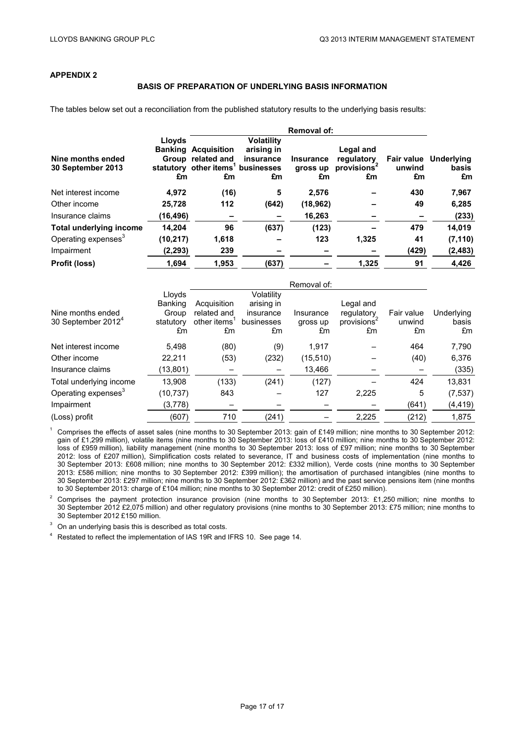# **APPENDIX 2**

#### **BASIS OF PREPARATION OF UNDERLYING BASIS INFORMATION**

The tables below set out a reconciliation from the published statutory results to the underlying basis results:

|                                        | Lloyds<br><b>Banking</b> | <b>Acquisition</b>                                                       | <b>Volatility</b><br>arising in |                                    | Legal and                                   |              |                                             |
|----------------------------------------|--------------------------|--------------------------------------------------------------------------|---------------------------------|------------------------------------|---------------------------------------------|--------------|---------------------------------------------|
| Nine months ended<br>30 September 2013 | £m                       | Group related and<br>statutory other items <sup>1</sup> businesses<br>£m | insurance<br>£m                 | <b>Insurance</b><br>gross up<br>£m | regulatory<br>provisions <sup>2</sup><br>£m | unwind<br>£m | <b>Fair value</b> Underlying<br>basis<br>£m |
| Net interest income                    | 4.972                    | (16)                                                                     | 5                               | 2,576                              |                                             | 430          | 7,967                                       |
| Other income                           | 25,728                   | 112                                                                      | (642)                           | (18, 962)                          |                                             | 49           | 6,285                                       |
| Insurance claims                       | (16,496)                 |                                                                          |                                 | 16,263                             |                                             |              | (233)                                       |
| <b>Total underlying income</b>         | 14,204                   | 96                                                                       | (637)                           | (123)                              |                                             | 479          | 14,019                                      |
| Operating expenses <sup>3</sup>        | (10, 217)                | 1,618                                                                    |                                 | 123                                | 1,325                                       | 41           | (7, 110)                                    |
| Impairment                             | (2, 293)                 | 239                                                                      |                                 |                                    |                                             | (429)        | (2, 483)                                    |
| Profit (loss)                          | 1,694                    | 1.953                                                                    | (637)                           |                                    | 1,325                                       | 91           | 4,426                                       |

|                                 | Lloyds    |                          | Volatility |           |                         |            |            |
|---------------------------------|-----------|--------------------------|------------|-----------|-------------------------|------------|------------|
|                                 | Banking   | Acquisition              | arising in |           | Legal and               |            |            |
| Nine months ended               | Group     | related and              | insurance  | Insurance | regulatory              | Fair value | Underlying |
| 30 September 2012 <sup>4</sup>  | statutory | other items <sup>1</sup> | businesses | gross up  | provisions <sup>4</sup> | unwind     | basis      |
|                                 | £m        | £m                       | £m         | £m        | £m                      | £m         | £m         |
| Net interest income             | 5.498     | (80)                     | (9)        | 1.917     |                         | 464        | 7,790      |
| Other income                    | 22,211    | (53)                     | (232)      | (15, 510) |                         | (40)       | 6,376      |
| Insurance claims                | (13,801)  |                          |            | 13,466    |                         |            | (335)      |
| Total underlying income         | 13,908    | (133)                    | (241)      | (127)     |                         | 424        | 13,831     |
| Operating expenses <sup>3</sup> | (10, 737) | 843                      |            | 127       | 2,225                   | 5          | (7, 537)   |
| Impairment                      | (3, 778)  |                          |            |           |                         | (641)      | (4, 419)   |
| (Loss) profit                   | (607)     | 710                      | (241)      |           | 2,225                   | (212)      | 1,875      |

<sup>1</sup> Comprises the effects of asset sales (nine months to 30 September 2013: gain of £149 million; nine months to 30 September 2012: gain of £1,299 million), volatile items (nine months to 30 September 2013: loss of £410 million; nine months to 30 September 2012: loss of £959 million), liability management (nine months to 30 September 2013: loss of £97 million; nine months to 30 September 2012: loss of £207 million), Simplification costs related to severance, IT and business costs of implementation (nine months to 30 September 2013: £608 million; nine months to 30 September 2012: £332 million), Verde costs (nine months to 30 September 2013: £586 million; nine months to 30 September 2012: £399 million); the amortisation of purchased intangibles (nine months to 30 September 2013: £297 million; nine months to 30 September 2012: £362 million) and the past service pensions item (nine months to 30 September 2013: charge of £104 million; nine months to 30 September 2012: credit of £250 million).

<sup>2</sup> Comprises the payment protection insurance provision (nine months to 30 September 2013: £1,250 million; nine months to 30 September 2012 £2,075 million) and other regulatory provisions (nine months to 30 September 2013: £75 million; nine months to 30 September 2012 £150 million.

 $3$  On an underlying basis this is described as total costs.

<sup>4</sup> Restated to reflect the implementation of IAS 19R and IFRS 10. See page 14.